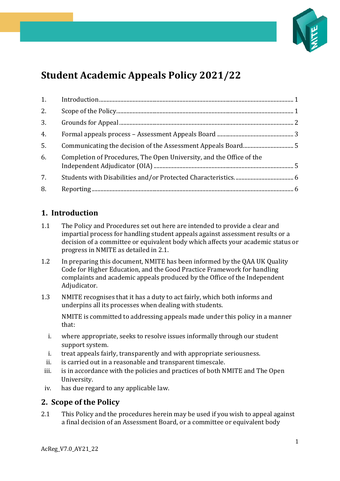

# **Student Academic Appeals Policy 2021/22**

| 2. |                                                                      |  |
|----|----------------------------------------------------------------------|--|
| 3. |                                                                      |  |
| 4. |                                                                      |  |
| 5. |                                                                      |  |
| 6. | Completion of Procedures, The Open University, and the Office of the |  |
| 7. |                                                                      |  |
| 8. |                                                                      |  |

# <span id="page-0-0"></span>**1. Introduction**

- 1.1 The Policy and Procedures set out here are intended to provide a clear and impartial process for handling student appeals against assessment results or a decision of a committee or equivalent body which affects your academic status or progress in NMITE as detailed in 2.1.
- 1.2 In preparing this document, NMITE has been informed by the QAA UK Quality Code for Higher Education, and the Good Practice Framework for handling complaints and academic appeals produced by the Office of the Independent Adjudicator.
- 1.3 NMITE recognises that it has a duty to act fairly, which both informs and underpins all its processes when dealing with students.

NMITE is committed to addressing appeals made under this policy in a manner that:

- i. where appropriate, seeks to resolve issues informally through our student support system.
- i. treat appeals fairly, transparently and with appropriate seriousness.
- ii. is carried out in a reasonable and transparent timescale.
- iii. is in accordance with the policies and practices of both NMITE and The Open University.
- iv. has due regard to any applicable law.

#### <span id="page-0-1"></span>**2. Scope of the Policy**

2.1 This Policy and the procedures herein may be used if you wish to appeal against a final decision of an Assessment Board, or a committee or equivalent body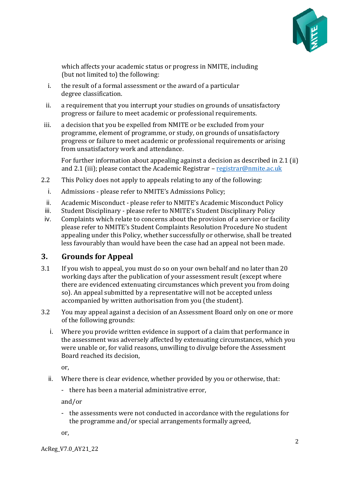

which affects your academic status or progress in NMITE, including (but not limited to) the following:

- i. the result of a formal assessment or the award of a particular degree classification.
- ii. a requirement that you interrupt your studies on grounds of unsatisfactory progress or failure to meet academic or professional requirements.
- iii. a decision that you be expelled from NMITE or be excluded from your programme, element of programme, or study, on grounds of unsatisfactory progress or failure to meet academic or professional requirements or arising from unsatisfactory work and attendance.

For further information about appealing against a decision as described in 2.1 (ii) and 2.1 (iii); please contact the Academic Registrar – [registrar@nmite.ac.uk](mailto:registrar@nmite.ac.uk)

- 2.2 This Policy does not apply to appeals relating to any of the following:
	- i. Admissions please refer to NMITE's Admissions Policy;
- ii. Academic Misconduct please refer to NMITE's Academic Misconduct Policy
- iii. Student Disciplinary please refer to NMITE's Student Disciplinary Policy
- iv. Complaints which relate to concerns about the provision of a service or facility please refer to NMITE's Student Complaints Resolution Procedure No student appealing under this Policy, whether successfully or otherwise, shall be treated less favourably than would have been the case had an appeal not been made.

## <span id="page-1-0"></span>**3. Grounds for Appeal**

- 3.1 If you wish to appeal, you must do so on your own behalf and no later than 20 working days after the publication of your assessment result (except where there are evidenced extenuating circumstances which prevent you from doing so). An appeal submitted by a representative will not be accepted unless accompanied by written authorisation from you (the student).
- 3.2 You may appeal against a decision of an Assessment Board only on one or more of the following grounds:
	- i. Where you provide written evidence in support of a claim that performance in the assessment was adversely affected by extenuating circumstances, which you were unable or, for valid reasons, unwilling to divulge before the Assessment Board reached its decision,

or,

- ii. Where there is clear evidence, whether provided by you or otherwise, that:
	- there has been a material administrative error,

and/or

- the assessments were not conducted in accordance with the regulations for the programme and/or special arrangements formally agreed,

or,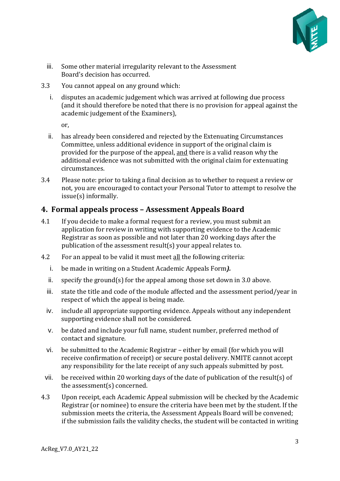

- iii. Some other material irregularity relevant to the Assessment Board's decision has occurred.
- 3.3 You cannot appeal on any ground which:
	- i. disputes an academic judgement which was arrived at following due process (and it should therefore be noted that there is no provision for appeal against the academic judgement of the Examiners),

or,

- ii. has already been considered and rejected by the Extenuating Circumstances Committee, unless additional evidence in support of the original claim is provided for the purpose of the appeal, and there is a valid reason why the additional evidence was not submitted with the original claim for extenuating circumstances.
- 3.4 Please note: prior to taking a final decision as to whether to request a review or not, you are encouraged to contact your Personal Tutor to attempt to resolve the issue(s) informally.

### <span id="page-2-0"></span>**4. Formal appeals process – Assessment Appeals Board**

- 4.1 If you decide to make a formal request for a review, you must submit an application for review in writing with supporting evidence to the Academic Registrar as soon as possible and not later than 20 working days after the publication of the assessment result(s) your appeal relates to.
- 4.2 For an appeal to be valid it must meet all the following criteria:
	- i. be made in writing on a Student Academic Appeals Form*).*
	- ii. specify the ground(s) for the appeal among those set down in 3.0 above.
	- iii. state the title and code of the module affected and the assessment period/year in respect of which the appeal is being made.
	- iv. include all appropriate supporting evidence. Appeals without any independent supporting evidence shall not be considered.
	- v. be dated and include your full name, student number, preferred method of contact and signature.
	- vi. be submitted to the Academic Registrar either by email (for which you will receive confirmation of receipt) or secure postal delivery. NMITE cannot accept any responsibility for the late receipt of any such appeals submitted by post.
	- vii. be received within 20 working days of the date of publication of the result(s) of the assessment(s) concerned.
- 4.3 Upon receipt, each Academic Appeal submission will be checked by the Academic Registrar (or nominee) to ensure the criteria have been met by the student. If the submission meets the criteria, the Assessment Appeals Board will be convened; if the submission fails the validity checks, the student will be contacted in writing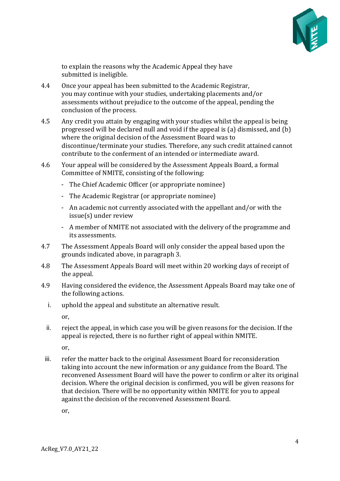

to explain the reasons why the Academic Appeal they have submitted is ineligible.

- 4.4 Once your appeal has been submitted to the Academic Registrar, you may continue with your studies, undertaking placements and/or assessments without prejudice to the outcome of the appeal, pending the conclusion of the process.
- 4.5 Any credit you attain by engaging with your studies whilst the appeal is being progressed will be declared null and void if the appeal is (a) dismissed, and (b) where the original decision of the Assessment Board was to discontinue/terminate your studies. Therefore, any such credit attained cannot contribute to the conferment of an intended or intermediate award.
- 4.6 Your appeal will be considered by the Assessment Appeals Board, a formal Committee of NMITE, consisting of the following:
	- The Chief Academic Officer (or appropriate nominee)
	- The Academic Registrar (or appropriate nominee)
	- An academic not currently associated with the appellant and/or with the issue(s) under review
	- A member of NMITE not associated with the delivery of the programme and its assessments.
- 4.7 The Assessment Appeals Board will only consider the appeal based upon the grounds indicated above, in paragraph 3.
- 4.8 The Assessment Appeals Board will meet within 20 working days of receipt of the appeal.
- 4.9 Having considered the evidence, the Assessment Appeals Board may take one of the following actions.
	- i. uphold the appeal and substitute an alternative result.

or,

ii. reject the appeal, in which case you will be given reasons for the decision. If the appeal is rejected, there is no further right of appeal within NMITE.

or,

iii. refer the matter back to the original Assessment Board for reconsideration taking into account the new information or any guidance from the Board. The reconvened Assessment Board will have the power to confirm or alter its original decision. Where the original decision is confirmed, you will be given reasons for that decision. There will be no opportunity within NMITE for you to appeal against the decision of the reconvened Assessment Board.

or,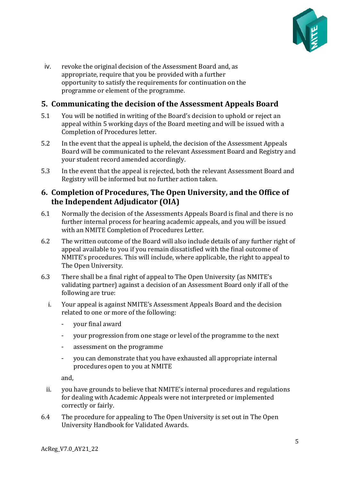

iv. revoke the original decision of the Assessment Board and, as appropriate, require that you be provided with a further opportunity to satisfy the requirements for continuation on the programme or element of the programme.

## <span id="page-4-0"></span>**5. Communicating the decision of the Assessment Appeals Board**

- 5.1 You will be notified in writing of the Board's decision to uphold or reject an appeal within 5 working days of the Board meeting and will be issued with a Completion of Procedures letter.
- 5.2 In the event that the appeal is upheld, the decision of the Assessment Appeals Board will be communicated to the relevant Assessment Board and Registry and your student record amended accordingly.
- 5.3 In the event that the appeal is rejected, both the relevant Assessment Board and Registry will be informed but no further action taken.

#### <span id="page-4-1"></span>**6. Completion of Procedures, The Open University, and the Office of the Independent Adjudicator (OIA)**

- 6.1 Normally the decision of the Assessments Appeals Board is final and there is no further internal process for hearing academic appeals, and you will be issued with an NMITE Completion of Procedures Letter.
- 6.2 The written outcome of the Board will also include details of any further right of appeal available to you if you remain dissatisfied with the final outcome of NMITE's procedures. This will include, where applicable, the right to appeal to The Open University.
- 6.3 There shall be a final right of appeal to The Open University (as NMITE's validating partner) against a decision of an Assessment Board only if all of the following are true:
	- i. Your appeal is against NMITE's Assessment Appeals Board and the decision related to one or more of the following:
		- your final award
		- your progression from one stage or level of the programme to the next
		- assessment on the programme
		- you can demonstrate that you have exhausted all appropriate internal procedures open to you at NMITE

and,

- ii. you have grounds to believe that NMITE's internal procedures and regulations for dealing with Academic Appeals were not interpreted or implemented correctly or fairly.
- 6.4 The procedure for appealing to The Open University is set out in The Open University Handbook for Validated Awards.